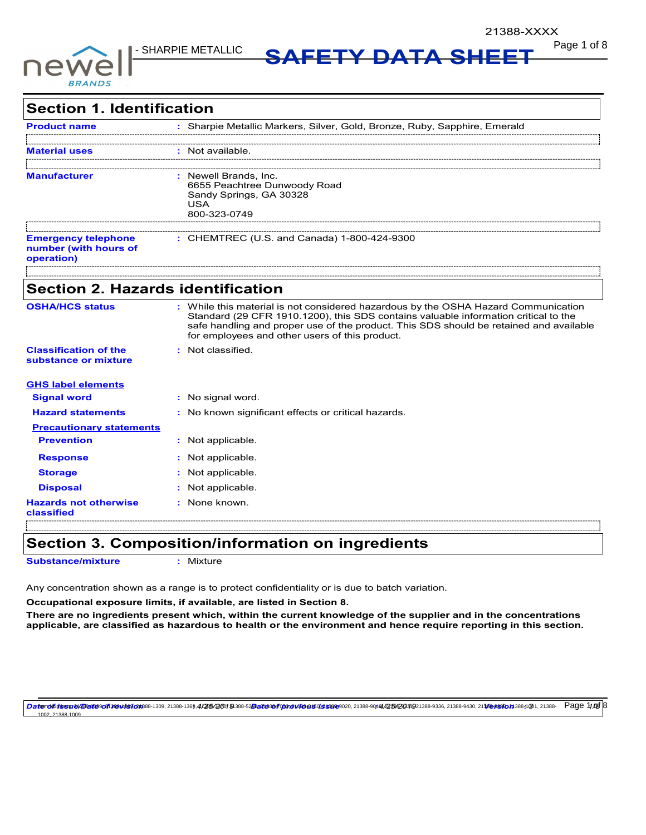

**Page 1 of 8 NARPIE METALLIC SAFETY DATA SHEET** 

| <b>Section 1. Identification</b>                                  |                                                                                                                                                                                                                                                                                                                       |
|-------------------------------------------------------------------|-----------------------------------------------------------------------------------------------------------------------------------------------------------------------------------------------------------------------------------------------------------------------------------------------------------------------|
| <b>Product name</b>                                               | : Sharpie Metallic Markers, Silver, Gold, Bronze, Ruby, Sapphire, Emerald                                                                                                                                                                                                                                             |
| <b>Material uses</b>                                              | : Not available.                                                                                                                                                                                                                                                                                                      |
| <b>Manufacturer</b>                                               | : Newell Brands, Inc.<br>6655 Peachtree Dunwoody Road<br>Sandy Springs, GA 30328<br>USA<br>800-323-0749                                                                                                                                                                                                               |
| <b>Emergency telephone</b><br>number (with hours of<br>operation) | : CHEMTREC (U.S. and Canada) 1-800-424-9300                                                                                                                                                                                                                                                                           |
| <b>Section 2. Hazards identification</b>                          |                                                                                                                                                                                                                                                                                                                       |
| <b>OSHA/HCS status</b>                                            | : While this material is not considered hazardous by the OSHA Hazard Communication<br>Standard (29 CFR 1910.1200), this SDS contains valuable information critical to the<br>safe handling and proper use of the product. This SDS should be retained and available<br>for employees and other users of this product. |
| <b>Classification of the</b><br>substance or mixture              | : Not classified.                                                                                                                                                                                                                                                                                                     |
| <b>GHS label elements</b>                                         |                                                                                                                                                                                                                                                                                                                       |
| <b>Signal word</b>                                                | No signal word.                                                                                                                                                                                                                                                                                                       |
| <b>Hazard statements</b>                                          | : No known significant effects or critical hazards.                                                                                                                                                                                                                                                                   |
| <b>Precautionary statements</b>                                   |                                                                                                                                                                                                                                                                                                                       |
| <b>Prevention</b>                                                 | : Not applicable.                                                                                                                                                                                                                                                                                                     |
| <b>Response</b>                                                   | : Not applicable.                                                                                                                                                                                                                                                                                                     |
| <b>Storage</b>                                                    | Not applicable.                                                                                                                                                                                                                                                                                                       |
| <b>Disposal</b>                                                   | Not applicable.                                                                                                                                                                                                                                                                                                       |
| <b>Hazards not otherwise</b><br>classified                        | : None known.                                                                                                                                                                                                                                                                                                         |

## **Section 3. Composition/information on ingredients**

**Substance/mixture :** Mixture

Any concentration shown as a range is to protect confidentiality or is due to batch variation.

**Occupational exposure limits, if available, are listed in Section 8.**

**There are no ingredients present which, within the current knowledge of the supplier and in the concentrations applicable, are classified as hazardous to health or the environment and hence require reporting in this section.**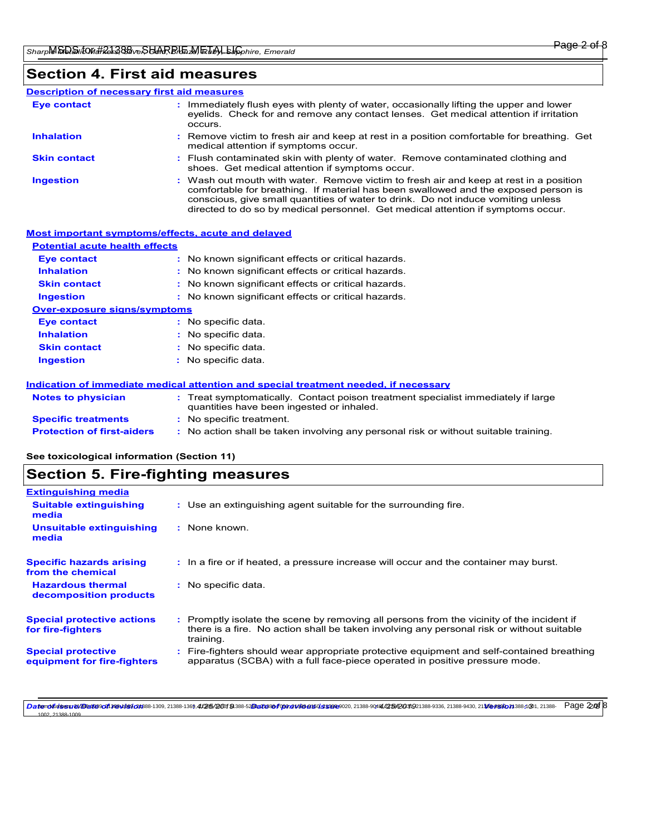## **Section 4. First aid measures**

#### **Description of necessary first aid measures**

| <b>Eye contact</b>  | : Immediately flush eyes with plenty of water, occasionally lifting the upper and lower<br>eyelids. Check for and remove any contact lenses. Get medical attention if irritation<br>occurs.                                                                                                                                                            |
|---------------------|--------------------------------------------------------------------------------------------------------------------------------------------------------------------------------------------------------------------------------------------------------------------------------------------------------------------------------------------------------|
| <b>Inhalation</b>   | : Remove victim to fresh air and keep at rest in a position comfortable for breathing. Get<br>medical attention if symptoms occur.                                                                                                                                                                                                                     |
| <b>Skin contact</b> | : Flush contaminated skin with plenty of water. Remove contaminated clothing and<br>shoes. Get medical attention if symptoms occur.                                                                                                                                                                                                                    |
| <b>Ingestion</b>    | : Wash out mouth with water. Remove victim to fresh air and keep at rest in a position<br>comfortable for breathing. If material has been swallowed and the exposed person is<br>conscious, give small quantities of water to drink. Do not induce vomiting unless<br>directed to do so by medical personnel. Get medical attention if symptoms occur. |

| Most important symptoms/effects, acute and delayed |                                                                                                                                |
|----------------------------------------------------|--------------------------------------------------------------------------------------------------------------------------------|
| <b>Potential acute health effects</b>              |                                                                                                                                |
| <b>Eye contact</b>                                 | : No known significant effects or critical hazards.                                                                            |
| <b>Inhalation</b>                                  | : No known significant effects or critical hazards.                                                                            |
| <b>Skin contact</b>                                | : No known significant effects or critical hazards.                                                                            |
| <b>Ingestion</b>                                   | : No known significant effects or critical hazards.                                                                            |
| <b>Over-exposure signs/symptoms</b>                |                                                                                                                                |
| <b>Eye contact</b>                                 | : No specific data.                                                                                                            |
| <b>Inhalation</b>                                  | : No specific data.                                                                                                            |
| <b>Skin contact</b>                                | : No specific data.                                                                                                            |
| <b>Ingestion</b>                                   | : No specific data.                                                                                                            |
|                                                    | Indication of immediate medical attention and special treatment needed, if necessary                                           |
| <b>Notes to physician</b>                          | : Treat symptomatically. Contact poison treatment specialist immediately if large<br>quantities have been ingested or inhaled. |
| <b>Specific treatments</b>                         | : No specific treatment.                                                                                                       |
| <b>Protection of first-aiders</b>                  | : No action shall be taken involving any personal risk or without suitable training.                                           |

**See toxicological information (Section 11)**

# **Section 5. Fire-fighting measures**

| : Use an extinguishing agent suitable for the surrounding fire.                                                                                                                                     |
|-----------------------------------------------------------------------------------------------------------------------------------------------------------------------------------------------------|
| : None known.                                                                                                                                                                                       |
| : In a fire or if heated, a pressure increase will occur and the container may burst.                                                                                                               |
| : No specific data.                                                                                                                                                                                 |
| : Promptly isolate the scene by removing all persons from the vicinity of the incident if<br>there is a fire. No action shall be taken involving any personal risk or without suitable<br>training. |
| Fire-fighters should wear appropriate protective equipment and self-contained breathing<br>apparatus (SCBA) with a full face-piece operated in positive pressure mode.                              |
|                                                                                                                                                                                                     |

Datemolfutbssrev/Bartta9coff 348Mb9f201888-1309, 2/388-1369,4/265/20019 388-52Datts8of cor,ex/e3be95025s8899020, 21388-9044/235/2031921388-9336, 21388-9430, 21368-983001388-1301, 21388- Раде 2205 8 21388-1009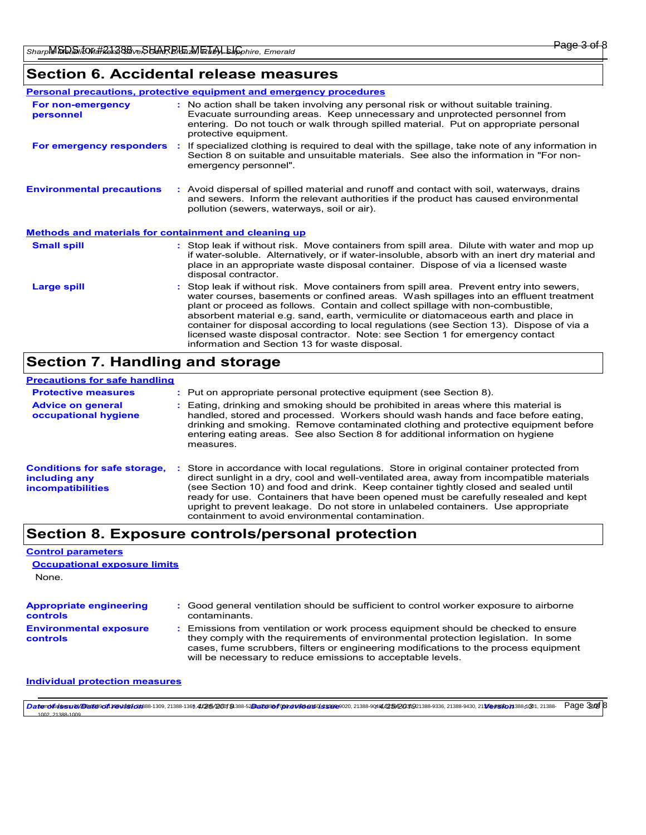# **Section 6. Accidental release measures**

|                                                       | <b>Personal precautions, protective equipment and emergency procedures</b>                                                                                                                                                                                                                                                                                                                                                                                                                                                                                                               |
|-------------------------------------------------------|------------------------------------------------------------------------------------------------------------------------------------------------------------------------------------------------------------------------------------------------------------------------------------------------------------------------------------------------------------------------------------------------------------------------------------------------------------------------------------------------------------------------------------------------------------------------------------------|
| For non-emergency<br>personnel                        | : No action shall be taken involving any personal risk or without suitable training.<br>Evacuate surrounding areas. Keep unnecessary and unprotected personnel from<br>entering. Do not touch or walk through spilled material. Put on appropriate personal<br>protective equipment.                                                                                                                                                                                                                                                                                                     |
| For emergency responders :                            | If specialized clothing is required to deal with the spillage, take note of any information in<br>Section 8 on suitable and unsuitable materials. See also the information in "For non-<br>emergency personnel".                                                                                                                                                                                                                                                                                                                                                                         |
| <b>Environmental precautions</b>                      | : Avoid dispersal of spilled material and runoff and contact with soil, waterways, drains<br>and sewers. Inform the relevant authorities if the product has caused environmental<br>pollution (sewers, waterways, soil or air).                                                                                                                                                                                                                                                                                                                                                          |
| Methods and materials for containment and cleaning up |                                                                                                                                                                                                                                                                                                                                                                                                                                                                                                                                                                                          |
| <b>Small spill</b>                                    | : Stop leak if without risk. Move containers from spill area. Dilute with water and mop up<br>if water-soluble. Alternatively, or if water-insoluble, absorb with an inert dry material and<br>place in an appropriate waste disposal container. Dispose of via a licensed waste<br>disposal contractor.                                                                                                                                                                                                                                                                                 |
| Large spill                                           | Stop leak if without risk. Move containers from spill area. Prevent entry into sewers,<br>water courses, basements or confined areas. Wash spillages into an effluent treatment<br>plant or proceed as follows. Contain and collect spillage with non-combustible,<br>absorbent material e.g. sand, earth, vermiculite or diatomaceous earth and place in<br>container for disposal according to local regulations (see Section 13). Dispose of via a<br>licensed waste disposal contractor. Note: see Section 1 for emergency contact<br>information and Section 13 for waste disposal. |

# **Section 7. Handling and storage**

| <b>Precautions for safe handling</b>                                             |                                                                                                                                                                                                                                                                                                                                                                                                                                                                                                             |
|----------------------------------------------------------------------------------|-------------------------------------------------------------------------------------------------------------------------------------------------------------------------------------------------------------------------------------------------------------------------------------------------------------------------------------------------------------------------------------------------------------------------------------------------------------------------------------------------------------|
| <b>Protective measures</b>                                                       | : Put on appropriate personal protective equipment (see Section 8).                                                                                                                                                                                                                                                                                                                                                                                                                                         |
| <b>Advice on general</b><br>occupational hygiene                                 | : Eating, drinking and smoking should be prohibited in areas where this material is<br>handled, stored and processed. Workers should wash hands and face before eating.<br>drinking and smoking. Remove contaminated clothing and protective equipment before<br>entering eating areas. See also Section 8 for additional information on hygiene<br>measures.                                                                                                                                               |
| <b>Conditions for safe storage,</b><br>including any<br><i>incompatibilities</i> | Store in accordance with local regulations. Store in original container protected from<br>direct sunlight in a dry, cool and well-ventilated area, away from incompatible materials<br>(see Section 10) and food and drink. Keep container tightly closed and sealed until<br>ready for use. Containers that have been opened must be carefully resealed and kept<br>upright to prevent leakage. Do not store in unlabeled containers. Use appropriate<br>containment to avoid environmental contamination. |

# **Section 8. Exposure controls/personal protection**

| <b>Control parameters</b>                         |                                                                                                                                                                                                                                                                                                                               |
|---------------------------------------------------|-------------------------------------------------------------------------------------------------------------------------------------------------------------------------------------------------------------------------------------------------------------------------------------------------------------------------------|
| <b>Occupational exposure limits</b>               |                                                                                                                                                                                                                                                                                                                               |
| None.                                             |                                                                                                                                                                                                                                                                                                                               |
|                                                   |                                                                                                                                                                                                                                                                                                                               |
| <b>Appropriate engineering</b><br><b>controls</b> | : Good general ventilation should be sufficient to control worker exposure to airborne<br>contaminants.                                                                                                                                                                                                                       |
| <b>Environmental exposure</b><br><b>controls</b>  | Emissions from ventilation or work process equipment should be checked to ensure<br>they comply with the requirements of environmental protection legislation. In some<br>cases, fume scrubbers, filters or engineering modifications to the process equipment<br>will be necessary to reduce emissions to acceptable levels. |

#### **Individual protection measures**

**Daterolfoisssrev/Bartescoft sesvies/201**88-1309, 21388-1369,4/265/20019 388-52Datts8of on a vissere soft and state seconds and seconds 2538091291388-9336, 21388-9430, 21368-9430, 21368-989021388-1001, 21388- Page 3:05 8 21388-1009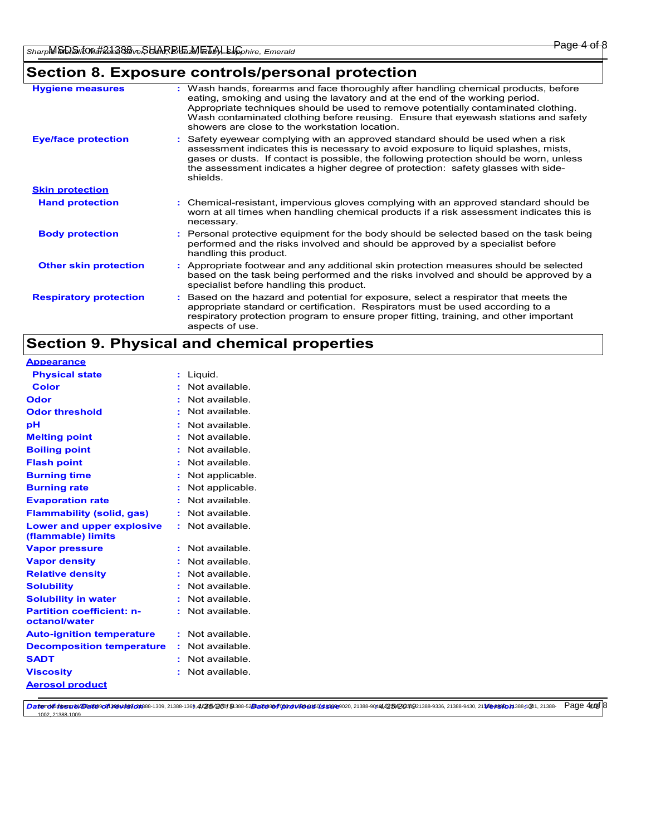# **Section 8. Exposure controls/personal protection**

| <b>Hygiene measures</b>       | : Wash hands, forearms and face thoroughly after handling chemical products, before<br>eating, smoking and using the lavatory and at the end of the working period.<br>Appropriate techniques should be used to remove potentially contaminated clothing.<br>Wash contaminated clothing before reusing. Ensure that eyewash stations and safety<br>showers are close to the workstation location. |
|-------------------------------|---------------------------------------------------------------------------------------------------------------------------------------------------------------------------------------------------------------------------------------------------------------------------------------------------------------------------------------------------------------------------------------------------|
| <b>Eye/face protection</b>    | : Safety eyewear complying with an approved standard should be used when a risk<br>assessment indicates this is necessary to avoid exposure to liquid splashes, mists,<br>gases or dusts. If contact is possible, the following protection should be worn, unless<br>the assessment indicates a higher degree of protection: safety glasses with side-<br>shields.                                |
| <b>Skin protection</b>        |                                                                                                                                                                                                                                                                                                                                                                                                   |
| <b>Hand protection</b>        | : Chemical-resistant, impervious gloves complying with an approved standard should be<br>worn at all times when handling chemical products if a risk assessment indicates this is<br>necessary.                                                                                                                                                                                                   |
| <b>Body protection</b>        | : Personal protective equipment for the body should be selected based on the task being<br>performed and the risks involved and should be approved by a specialist before<br>handling this product.                                                                                                                                                                                               |
| <b>Other skin protection</b>  | : Appropriate footwear and any additional skin protection measures should be selected<br>based on the task being performed and the risks involved and should be approved by a<br>specialist before handling this product.                                                                                                                                                                         |
| <b>Respiratory protection</b> | : Based on the hazard and potential for exposure, select a respirator that meets the<br>appropriate standard or certification. Respirators must be used according to a<br>respiratory protection program to ensure proper fitting, training, and other important<br>aspects of use.                                                                                                               |

# **Section 9. Physical and chemical properties**

| <b>Appearance</b>                                 |                          |  |
|---------------------------------------------------|--------------------------|--|
| <b>Physical state</b>                             | : Liquid.                |  |
| <b>Color</b>                                      | Not available.<br>$\sim$ |  |
| Odor                                              | Not available.           |  |
| <b>Odor threshold</b>                             | Not available.           |  |
| pH                                                | Not available.           |  |
| <b>Melting point</b>                              | Not available.           |  |
| <b>Boiling point</b>                              | Not available.           |  |
| <b>Flash point</b>                                | Not available.           |  |
| <b>Burning time</b>                               | Not applicable.          |  |
| <b>Burning rate</b>                               | Not applicable.          |  |
| <b>Evaporation rate</b>                           | Not available.           |  |
| <b>Flammability (solid, gas)</b>                  | Not available.           |  |
| Lower and upper explosive<br>(flammable) limits   | : Not available.         |  |
| <b>Vapor pressure</b>                             | Not available.<br>٠.     |  |
| <b>Vapor density</b>                              | : Not available.         |  |
| <b>Relative density</b>                           | Not available.           |  |
| <b>Solubility</b>                                 | Not available.           |  |
| <b>Solubility in water</b>                        | Not available.           |  |
| <b>Partition coefficient: n-</b><br>octanol/water | : Not available.         |  |
| <b>Auto-ignition temperature</b>                  | : Not available.         |  |
| <b>Decomposition temperature</b>                  | : Not available.         |  |
| <b>SADT</b>                                       | : Not available.         |  |
| <b>Viscosity</b>                                  | : Not available.         |  |
| <b>Aerosol product</b>                            |                          |  |

**Daterolfoisssrev/Bartescoft sesvitsscoress-1309, 2/385-1369,4/265/20019 388-52Barteseof corrected of corrected at State 90100, 21388-9044/255/2031921388-9336, 21388-9430, 21388-9430, 21380-9830 21380-9830 21380-9830 21380** 1002, 21388-1009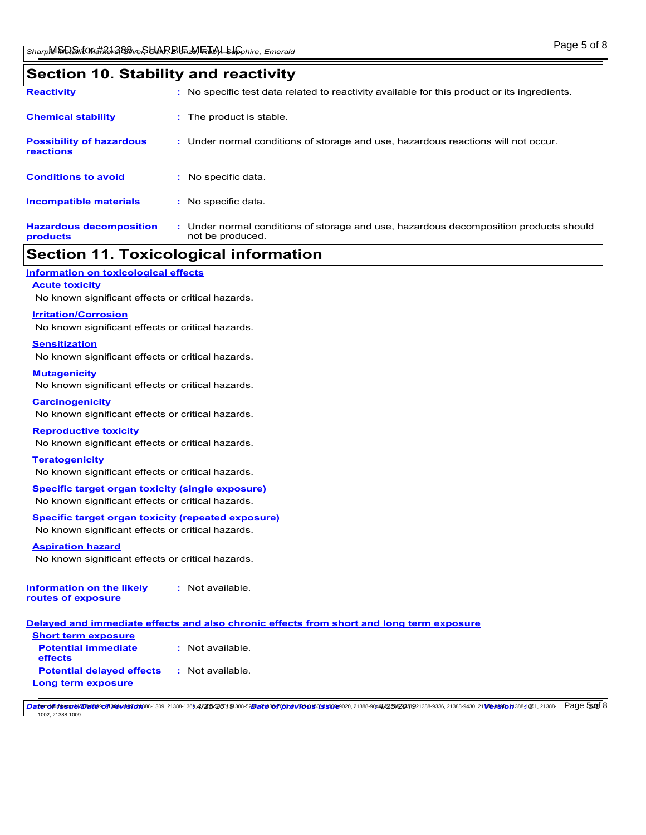### **Section 10. Stability and reactivity**

| <b>Reactivity</b>                            |    | : No specific test data related to reactivity available for this product or its ingredients.              |
|----------------------------------------------|----|-----------------------------------------------------------------------------------------------------------|
| <b>Chemical stability</b>                    |    | : The product is stable.                                                                                  |
| <b>Possibility of hazardous</b><br>reactions |    | : Under normal conditions of storage and use, hazardous reactions will not occur.                         |
| <b>Conditions to avoid</b>                   | τ. | No specific data.                                                                                         |
| <b>Incompatible materials</b>                |    | : No specific data.                                                                                       |
| <b>Hazardous decomposition</b><br>products   |    | : Under normal conditions of storage and use, hazardous decomposition products should<br>not be produced. |

## **Section 11. Toxicological information**

**Information on toxicological effects**

### **Acute toxicity**

No known significant effects or critical hazards.

#### **Irritation/Corrosion**

No known significant effects or critical hazards.

#### **Sensitization**

No known significant effects or critical hazards.

#### **Mutagenicity**

No known significant effects or critical hazards.

#### **Carcinogenicity**

No known significant effects or critical hazards.

#### **Reproductive toxicity**

No known significant effects or critical hazards.

#### **Teratogenicity**

No known significant effects or critical hazards.

# **Specific target organ toxicity (single exposure)**

No known significant effects or critical hazards.

### **Specific target organ toxicity (repeated exposure)**

No known significant effects or critical hazards.

### **Aspiration hazard**

1002, 21388-1009

No known significant effects or critical hazards.

| Information on the likely | : Not available. |
|---------------------------|------------------|
| routes of exposure        |                  |

### **Delayed and immediate effects and also chronic effects from short and long term exposure**

| : Not available. |
|------------------|
| : Not available. |
|                  |

**Daterolfoisssrev/Bartescoft sesvitsscoress-1309, 2/385-1369,4/265/20019 388-52Barteseof optharessessencesseses020, 21388-9044/235/2031021388-9336, 21388-9430, 21369-983001388-1301, 21388-9 Page 55.05 8**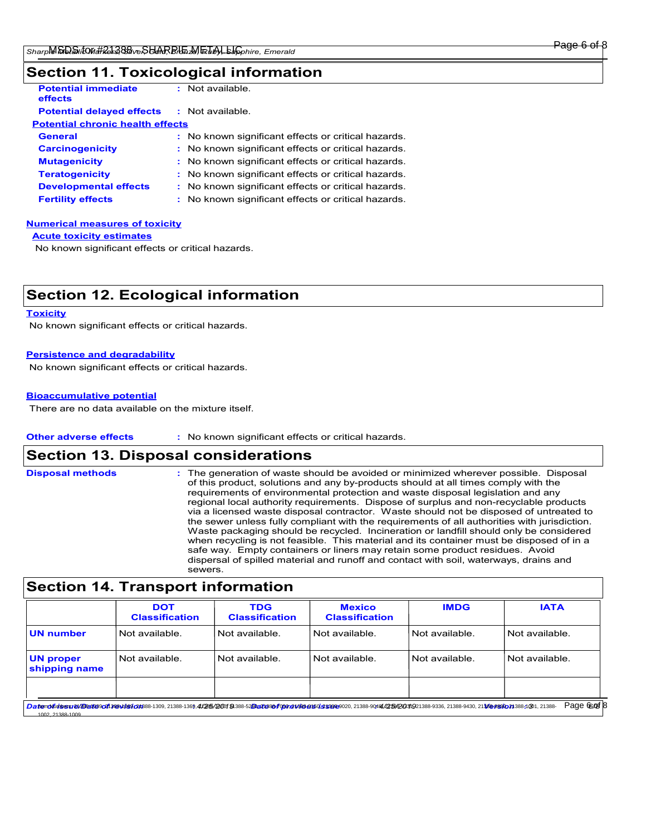# **Section 11. Toxicological information**

| <b>Potential immediate</b><br>effects   | : Not available.                                    |  |  |  |
|-----------------------------------------|-----------------------------------------------------|--|--|--|
| <b>Potential delayed effects</b>        | : Not available.                                    |  |  |  |
| <b>Potential chronic health effects</b> |                                                     |  |  |  |
| <b>General</b>                          | : No known significant effects or critical hazards. |  |  |  |
| <b>Carcinogenicity</b>                  | : No known significant effects or critical hazards. |  |  |  |
| <b>Mutagenicity</b>                     | : No known significant effects or critical hazards. |  |  |  |
| <b>Teratogenicity</b>                   | : No known significant effects or critical hazards. |  |  |  |
| <b>Developmental effects</b>            | : No known significant effects or critical hazards. |  |  |  |
| <b>Fertility effects</b>                | : No known significant effects or critical hazards. |  |  |  |

#### **Numerical measures of toxicity**

**Acute toxicity estimates**

No known significant effects or critical hazards.

# **Section 12. Ecological information**

#### **Toxicity**

No known significant effects or critical hazards.

### **Persistence and degradability**

No known significant effects or critical hazards.

#### **Bioaccumulative potential**

There are no data available on the mixture itself.

#### **Other adverse effects :** No known significant effects or critical hazards.

## **Section 13. Disposal considerations**

| <b>Disposal methods</b> | : The generation of waste should be avoided or minimized wherever possible. Disposal<br>of this product, solutions and any by-products should at all times comply with the<br>requirements of environmental protection and waste disposal legislation and any<br>regional local authority requirements. Dispose of surplus and non-recyclable products<br>via a licensed waste disposal contractor. Waste should not be disposed of untreated to<br>the sewer unless fully compliant with the requirements of all authorities with jurisdiction.<br>Waste packaging should be recycled. Incineration or landfill should only be considered<br>when recycling is not feasible. This material and its container must be disposed of in a<br>safe way. Empty containers or liners may retain some product residues. Avoid<br>dispersal of spilled material and runoff and contact with soil, waterways, drains and<br>sewers. |
|-------------------------|----------------------------------------------------------------------------------------------------------------------------------------------------------------------------------------------------------------------------------------------------------------------------------------------------------------------------------------------------------------------------------------------------------------------------------------------------------------------------------------------------------------------------------------------------------------------------------------------------------------------------------------------------------------------------------------------------------------------------------------------------------------------------------------------------------------------------------------------------------------------------------------------------------------------------|
|-------------------------|----------------------------------------------------------------------------------------------------------------------------------------------------------------------------------------------------------------------------------------------------------------------------------------------------------------------------------------------------------------------------------------------------------------------------------------------------------------------------------------------------------------------------------------------------------------------------------------------------------------------------------------------------------------------------------------------------------------------------------------------------------------------------------------------------------------------------------------------------------------------------------------------------------------------------|

|                                   | <b>DOT</b><br><b>Classification</b> | <b>TDG</b><br><b>Classification</b> | <b>Mexico</b><br><b>Classification</b> | <b>IMDG</b>    | <b>IATA</b>      |
|-----------------------------------|-------------------------------------|-------------------------------------|----------------------------------------|----------------|------------------|
| <b>UN number</b>                  | Not available.                      | Not available.                      | Not available.                         | Not available. | l Not available. |
| <b>UN proper</b><br>shipping name | Not available.                      | l Not available.                    | Not available.                         | Not available. | l Not available. |
|                                   |                                     |                                     |                                        |                |                  |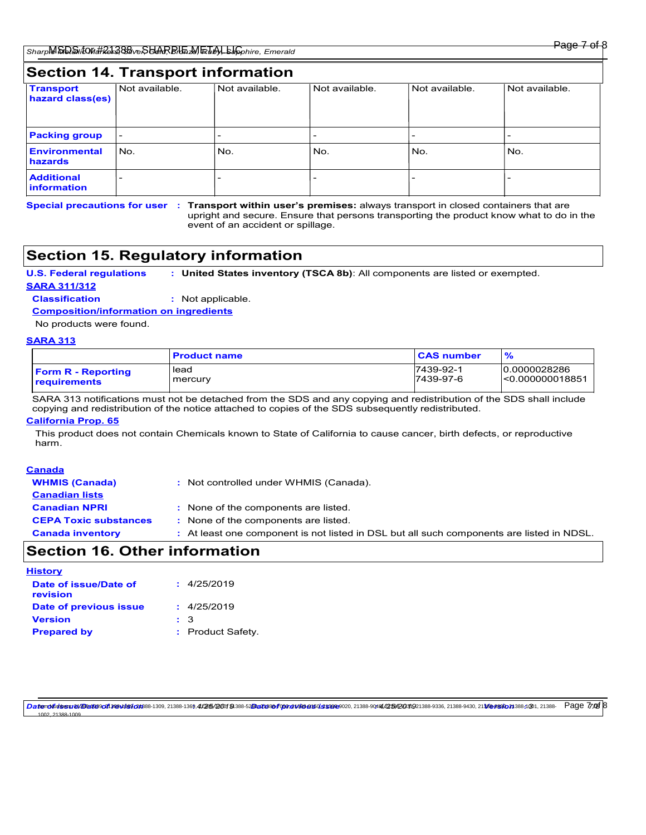| <b>Section 14. Transport information</b> |                          |                |                |                |                |
|------------------------------------------|--------------------------|----------------|----------------|----------------|----------------|
| <b>Transport</b><br>hazard class(es)     | Not available.           | Not available. | Not available. | Not available. | Not available. |
| <b>Packing group</b>                     | $\overline{\phantom{0}}$ |                |                |                |                |
| Environmental<br>hazards                 | l No.                    | No.            | No.            | No.            | No.            |
| <b>Additional</b><br><b>linformation</b> |                          |                |                |                |                |

Special precautions for user : Transport within user's premises: always transport in closed containers that are upright and secure. Ensure that persons transporting the product know what to do in the event of an accident or spillage.

# **Section 15. Regulatory information**

**U.S. Federal regulations : United States inventory (TSCA 8b)**: All components are listed or exempted.

**SARA 311/312**

**Classification :** Not applicable.

**Composition/information on ingredients**

No products were found.

### **SARA 313**

|                           | <b>Product name</b> | <b>CAS number</b> | %               |
|---------------------------|---------------------|-------------------|-----------------|
| <b>Form R</b> - Reporting | lead                | 7439-92-1         | 10.0000028286   |
| <b>requirements</b>       | mercury             | 7439-97-6         | <0.000000018851 |

SARA 313 notifications must not be detached from the SDS and any copying and redistribution of the SDS shall include copying and redistribution of the notice attached to copies of the SDS subsequently redistributed.

### **California Prop. 65**

This product does not contain Chemicals known to State of California to cause cancer, birth defects, or reproductive harm.

| Canada                       |                                                                                           |
|------------------------------|-------------------------------------------------------------------------------------------|
| <b>WHMIS (Canada)</b>        | : Not controlled under WHMIS (Canada).                                                    |
| <b>Canadian lists</b>        |                                                                                           |
| <b>Canadian NPRI</b>         | : None of the components are listed.                                                      |
| <b>CEPA Toxic substances</b> | : None of the components are listed.                                                      |
| <b>Canada inventory</b>      | : At least one component is not listed in DSL but all such components are listed in NDSL. |

# **Section 16. Other information**

| History                           |                  |
|-----------------------------------|------------------|
| Date of issue/Date of<br>revision | : 4/25/2019      |
| Date of previous issue            | : 4/25/2019      |
| <b>Version</b>                    | $\pm$ 3          |
| <b>Prepared by</b>                | : Product Safety |

DatendfuisssreviBertescen sesviescens8-1309, 21388-1369, 4/25/20019 388-52Dects804000ceN308950135302002021388-9014/256/201921388-9336, 21388-9430, 21368-9430, 21388-9430, 21388-9430, 21388-9430, 21388-9430, 21388-9430, 213 21288-100 Page 770 8